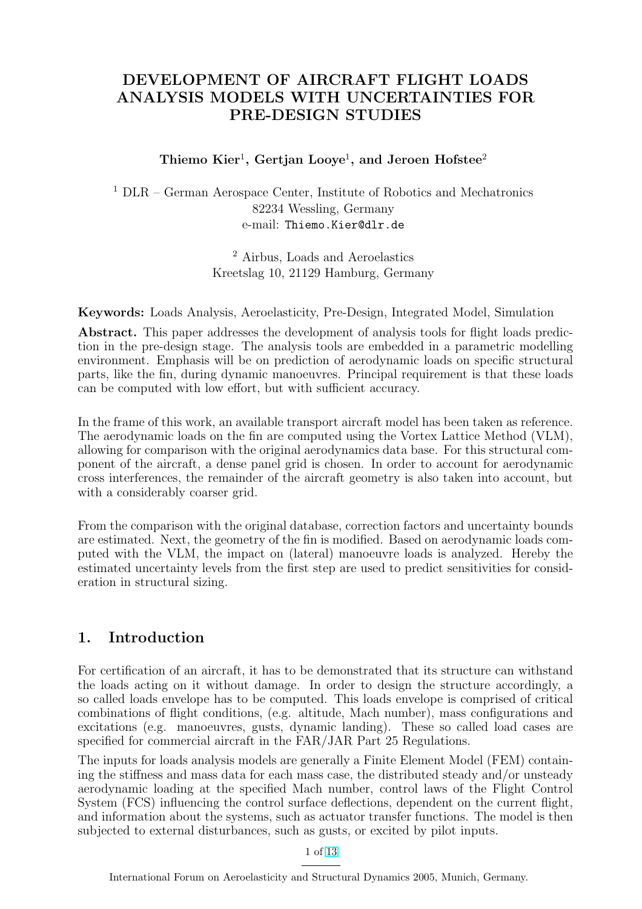# DEVELOPMENT OF AIRCRAFT FLIGHT LOADS ANALYSIS MODELS WITH UNCERTAINTIES FOR PRE-DESIGN STUDIES

### Thiemo Kier<sup>1</sup>, Gertjan Looye<sup>1</sup>, and Jeroen Hofstee<sup>2</sup>

<sup>1</sup> DLR – German Aerospace Center, Institute of Robotics and Mechatronics 82234 Wessling, Germany e-mail: Thiemo.Kier@dlr.de

> <sup>2</sup> Airbus, Loads and Aeroelastics Kreetslag 10, 21129 Hamburg, Germany

Keywords: Loads Analysis, Aeroelasticity, Pre-Design, Integrated Model, Simulation

Abstract. This paper addresses the development of analysis tools for flight loads prediction in the pre-design stage. The analysis tools are embedded in a parametric modelling environment. Emphasis will be on prediction of aerodynamic loads on specific structural parts, like the fin, during dynamic manoeuvres. Principal requirement is that these loads can be computed with low effort, but with sufficient accuracy.

In the frame of this work, an available transport aircraft model has been taken as reference. The aerodynamic loads on the fin are computed using the Vortex Lattice Method (VLM), allowing for comparison with the original aerodynamics data base. For this structural component of the aircraft, a dense panel grid is chosen. In order to account for aerodynamic cross interferences, the remainder of the aircraft geometry is also taken into account, but with a considerably coarser grid.

From the comparison with the original database, correction factors and uncertainty bounds are estimated. Next, the geometry of the fin is modified. Based on aerodynamic loads computed with the VLM, the impact on (lateral) manoeuvre loads is analyzed. Hereby the estimated uncertainty levels from the first step are used to predict sensitivities for consideration in structural sizing.

# 1. Introduction

For certification of an aircraft, it has to be demonstrated that its structure can withstand the loads acting on it without damage. In order to design the structure accordingly, a so called loads envelope has to be computed. This loads envelope is comprised of critical combinations of flight conditions, (e.g. altitude, Mach number), mass configurations and excitations (e.g. manoeuvres, gusts, dynamic landing). These so called load cases are specified for commercial aircraft in the FAR/JAR Part 25 Regulations.

The inputs for loads analysis models are generally a Finite Element Model (FEM) containing the stiffness and mass data for each mass case, the distributed steady and/or unsteady aerodynamic loading at the specified Mach number, control laws of the Flight Control System (FCS) influencing the control surface deflections, dependent on the current flight, and information about the systems, such as actuator transfer functions. The model is then subjected to external disturbances, such as gusts, or excited by pilot inputs.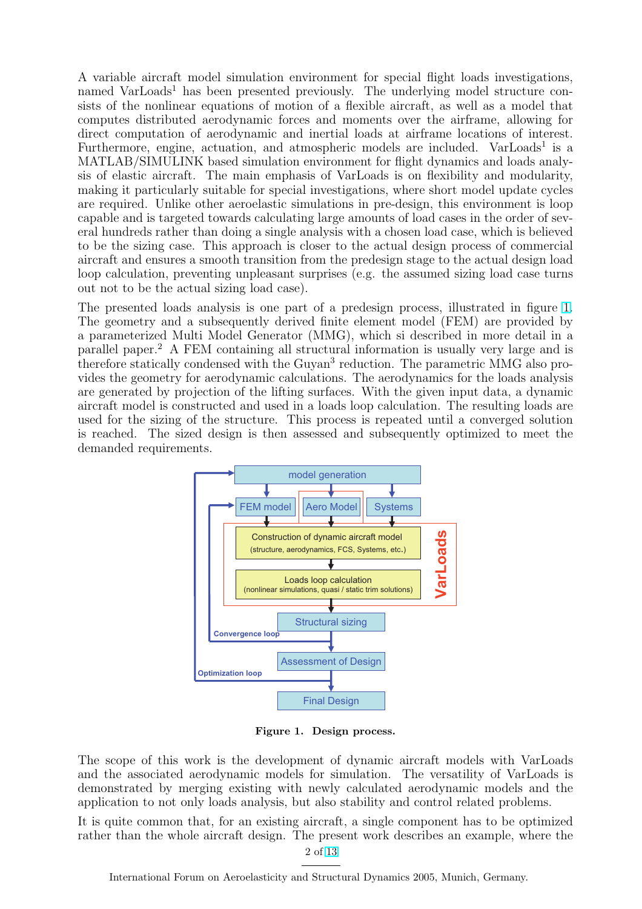A variable aircraft model simulation environment for special flight loads investigations, named VarLoads<sup>1</sup> has been presented previously. The underlying model structure consists of the nonlinear equations of motion of a flexible aircraft, as well as a model that computes distributed aerodynamic forces and moments over the airframe, allowing for direct computation of aerodynamic and inertial loads at airframe locations of interest. Furthermore, engine, actuation, and atmospheric models are included. VarLoads<sup>1</sup> is a MATLAB/SIMULINK based simulation environment for flight dynamics and loads analysis of elastic aircraft. The main emphasis of VarLoads is on flexibility and modularity, making it particularly suitable for special investigations, where short model update cycles are required. Unlike other aeroelastic simulations in pre-design, this environment is loop capable and is targeted towards calculating large amounts of load cases in the order of several hundreds rather than doing a single analysis with a chosen load case, which is believed to be the sizing case. This approach is closer to the actual design process of commercial aircraft and ensures a smooth transition from the predesign stage to the actual design load loop calculation, preventing unpleasant surprises (e.g. the assumed sizing load case turns out not to be the actual sizing load case).

The presented loads analysis is one part of a predesign process, illustrated in figure 1. The geometry and a subsequently derived finite element model (FEM) are provided by a parameterized Multi Model Generator (MMG), which si described in more detail in a parallel paper.<sup>2</sup> A FEM containing all structural information is usually very large and is therefore statically condensed with the Guyan<sup>3</sup> reduction. The parametric MMG also provides the geometry for aerodynamic calculations. The aerodynamics for the loads analysis are generated by projection of the lifting surfaces. With the given input data, a dynamic aircraft model is constructed and used in a loads loop calculation. The resulting loads are used for the sizing of the structure. This process is repeated until a converged solution is reached. The sized design is then assessed and subsequently optimized to meet the demanded requirements.



Figure 1. Design process.

The scope of this work is the development of dynamic aircraft models with VarLoads and the associated aerodynamic models for simulation. The versatility of VarLoads is demonstrated by merging existing with newly calculated aerodynamic models and the application to not only loads analysis, but also stability and control related problems.

It is quite common that, for an existing aircraft, a single component has to be optimized rather than the whole aircraft design. The present work describes an example, where the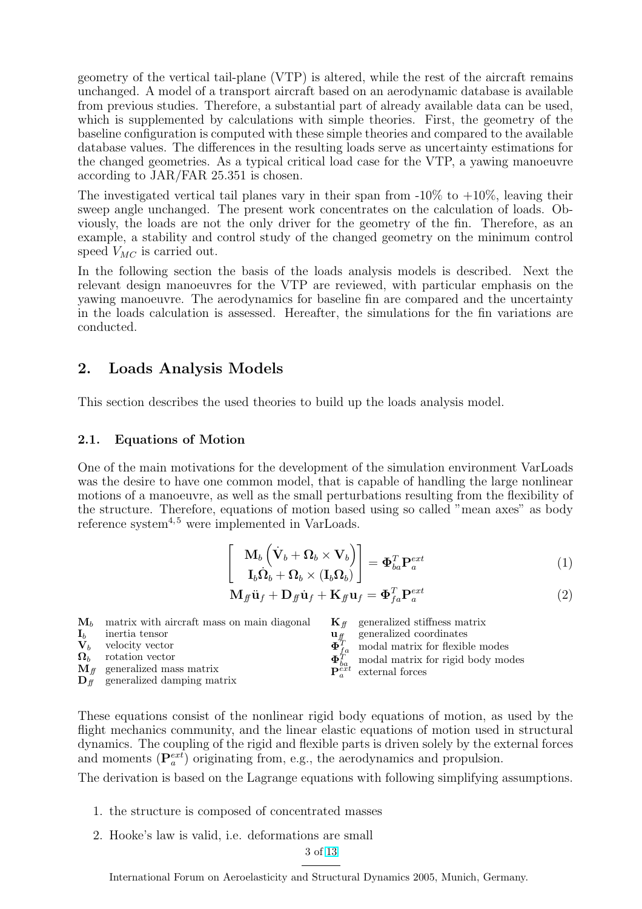geometry of the vertical tail-plane (VTP) is altered, while the rest of the aircraft remains unchanged. A model of a transport aircraft based on an aerodynamic database is available from previous studies. Therefore, a substantial part of already available data can be used, which is supplemented by calculations with simple theories. First, the geometry of the baseline configuration is computed with these simple theories and compared to the available database values. The differences in the resulting loads serve as uncertainty estimations for the changed geometries. As a typical critical load case for the VTP, a yawing manoeuvre according to JAR/FAR 25.351 is chosen.

The investigated vertical tail planes vary in their span from  $-10\%$  to  $+10\%$ , leaving their sweep angle unchanged. The present work concentrates on the calculation of loads. Obviously, the loads are not the only driver for the geometry of the fin. Therefore, as an example, a stability and control study of the changed geometry on the minimum control speed  $V_{MC}$  is carried out.

In the following section the basis of the loads analysis models is described. Next the relevant design manoeuvres for the VTP are reviewed, with particular emphasis on the yawing manoeuvre. The aerodynamics for baseline fin are compared and the uncertainty in the loads calculation is assessed. Hereafter, the simulations for the fin variations are conducted.

# 2. Loads Analysis Models

This section describes the used theories to build up the loads analysis model.

#### 2.1. Equations of Motion

One of the main motivations for the development of the simulation environment VarLoads was the desire to have one common model, that is capable of handling the large nonlinear motions of a manoeuvre, as well as the small perturbations resulting from the flexibility of the structure. Therefore, equations of motion based using so called "mean axes" as body reference system $4.5$  were implemented in VarLoads.

$$
\begin{bmatrix} \mathbf{M}_b \left( \dot{\mathbf{V}}_b + \mathbf{\Omega}_b \times \mathbf{V}_b \right) \\ \mathbf{I}_b \dot{\mathbf{\Omega}}_b + \mathbf{\Omega}_b \times (\mathbf{I}_b \mathbf{\Omega}_b) \end{bmatrix} = \mathbf{\Phi}_{ba}^T \mathbf{P}_a^{ext}
$$
(1)

$$
\mathbf{M}_{f} \ddot{\mathbf{u}}_{f} + \mathbf{D}_{f} \dot{\mathbf{u}}_{f} + \mathbf{K}_{f} \mathbf{u}_{f} = \mathbf{\Phi}_{fa}^{T} \mathbf{P}_{a}^{ext}
$$
\n(2)

 $M_b$  matrix with aircraft mass on main diagonal  $\mathbf{I}_b$  inertia tensor  $\mathbf{V}_b$  velocity vector<br> $\mathbf{\Omega}_b$  rotation vector rotation vector  $\mathbf{M}_{ff}$  generalized mass matrix  $\mathbf{K}_{ff}$  generalized stiffness matrix<br> $\mathbf{u}_{ff}$  generalized coordinates generalized coordinates  $\mathbf{\Phi}_{fa}^T$  modal matrix for flexible modes  $\Phi_{ba}^T$  modal matrix for rigid body modes  $\mathbf{P}_{a}^{\text{ext}}$  external forces

 $\mathbf{D}_{\text{ff}}$  generalized damping matrix

These equations consist of the nonlinear rigid body equations of motion, as used by the flight mechanics community, and the linear elastic equations of motion used in structural dynamics. The coupling of the rigid and flexible parts is driven solely by the external forces and moments  $(\mathbf{P}_{a}^{ext})$  originating from, e.g., the aerodynamics and propulsion.

The derivation is based on the Lagrange equations with following simplifying assumptions.

- 1. the structure is composed of concentrated masses
- 2. Hooke's law is valid, i.e. deformations are small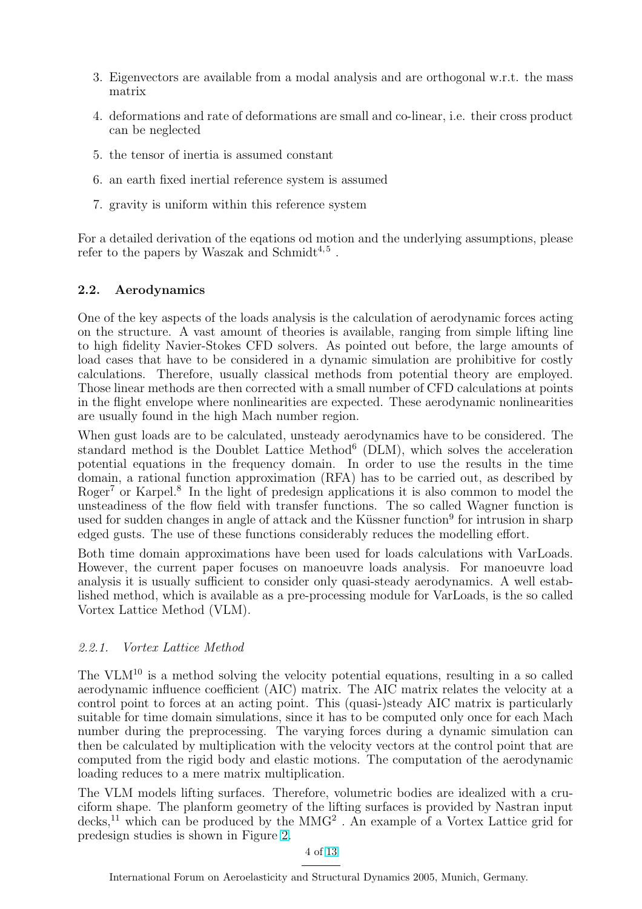- 3. Eigenvectors are available from a modal analysis and are orthogonal w.r.t. the mass matrix
- 4. deformations and rate of deformations are small and co-linear, i.e. their cross product can be neglected
- 5. the tensor of inertia is assumed constant
- 6. an earth fixed inertial reference system is assumed
- 7. gravity is uniform within this reference system

For a detailed derivation of the eqations od motion and the underlying assumptions, please refer to the papers by Waszak and Schmidt<sup>4,5</sup>.

#### 2.2. Aerodynamics

One of the key aspects of the loads analysis is the calculation of aerodynamic forces acting on the structure. A vast amount of theories is available, ranging from simple lifting line to high fidelity Navier-Stokes CFD solvers. As pointed out before, the large amounts of load cases that have to be considered in a dynamic simulation are prohibitive for costly calculations. Therefore, usually classical methods from potential theory are employed. Those linear methods are then corrected with a small number of CFD calculations at points in the flight envelope where nonlinearities are expected. These aerodynamic nonlinearities are usually found in the high Mach number region.

When gust loads are to be calculated, unsteady aerodynamics have to be considered. The standard method is the Doublet Lattice Method<sup>6</sup> (DLM), which solves the acceleration potential equations in the frequency domain. In order to use the results in the time domain, a rational function approximation (RFA) has to be carried out, as described by Roger<sup>7</sup> or Karpel.<sup>8</sup> In the light of predesign applications it is also common to model the unsteadiness of the flow field with transfer functions. The so called Wagner function is used for sudden changes in angle of attack and the Küssner function<sup>9</sup> for intrusion in sharp edged gusts. The use of these functions considerably reduces the modelling effort.

Both time domain approximations have been used for loads calculations with VarLoads. However, the current paper focuses on manoeuvre loads analysis. For manoeuvre load analysis it is usually sufficient to consider only quasi-steady aerodynamics. A well established method, which is available as a pre-processing module for VarLoads, is the so called Vortex Lattice Method (VLM).

# 2.2.1. Vortex Lattice Method

The VLM<sup>10</sup> is a method solving the velocity potential equations, resulting in a so called aerodynamic influence coefficient (AIC) matrix. The AIC matrix relates the velocity at a control point to forces at an acting point. This (quasi-)steady AIC matrix is particularly suitable for time domain simulations, since it has to be computed only once for each Mach number during the preprocessing. The varying forces during a dynamic simulation can then be calculated by multiplication with the velocity vectors at the control point that are computed from the rigid body and elastic motions. The computation of the aerodynamic loading reduces to a mere matrix multiplication.

The VLM models lifting surfaces. Therefore, volumetric bodies are idealized with a cruciform shape. The planform geometry of the lifting surfaces is provided by Nastran input  $decks$ <sup>11</sup> which can be produced by the MMG<sup>2</sup>. An example of a Vortex Lattice grid for predesign studies is shown in Figure 2.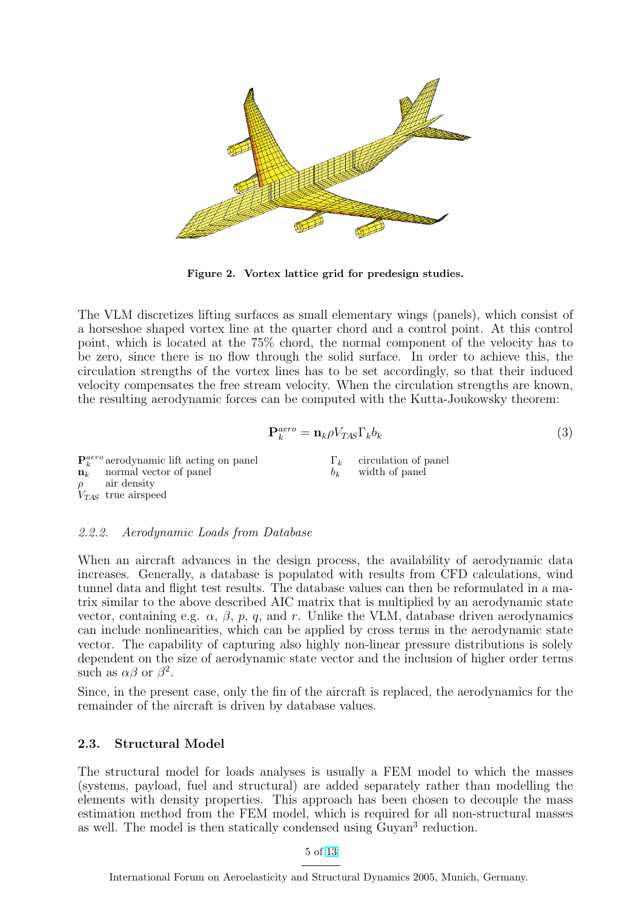

Figure 2. Vortex lattice grid for predesign studies.

The VLM discretizes lifting surfaces as small elementary wings (panels), which consist of a horseshoe shaped vortex line at the quarter chord and a control point. At this control point, which is located at the 75% chord, the normal component of the velocity has to be zero, since there is no flow through the solid surface. In order to achieve this, the circulation strengths of the vortex lines has to be set accordingly, so that their induced velocity compensates the free stream velocity. When the circulation strengths are known, the resulting aerodynamic forces can be computed with the Kutta-Joukowsky theorem:

$$
\mathbf{P}_k^{aero} = \mathbf{n}_k \rho V_{TAS} \Gamma_k b_k \tag{3}
$$

 ${\bf P}^{aero}_k$  aerodynamic lift acting on panel  $n_k$  normal vector of panel air density  $V_{TAS}$  true airspeed  $\Gamma_k$  circulation of panel  $b_k$  width of panel

#### 2.2.2. Aerodynamic Loads from Database

When an aircraft advances in the design process, the availability of aerodynamic data increases. Generally, a database is populated with results from CFD calculations, wind tunnel data and flight test results. The database values can then be reformulated in a matrix similar to the above described AIC matrix that is multiplied by an aerodynamic state vector, containing e.g.  $\alpha$ ,  $\beta$ ,  $p$ ,  $q$ , and r. Unlike the VLM, database driven aerodynamics can include nonlinearities, which can be applied by cross terms in the aerodynamic state vector. The capability of capturing also highly non-linear pressure distributions is solely dependent on the size of aerodynamic state vector and the inclusion of higher order terms such as  $\alpha\beta$  or  $\beta^2$ .

Since, in the present case, only the fin of the aircraft is replaced, the aerodynamics for the remainder of the aircraft is driven by database values.

#### 2.3. Structural Model

The structural model for loads analyses is usually a FEM model to which the masses (systems, payload, fuel and structural) are added separately rather than modelling the elements with density properties. This approach has been chosen to decouple the mass estimation method from the FEM model, which is required for all non-structural masses as well. The model is then statically condensed using Guyan<sup>3</sup> reduction.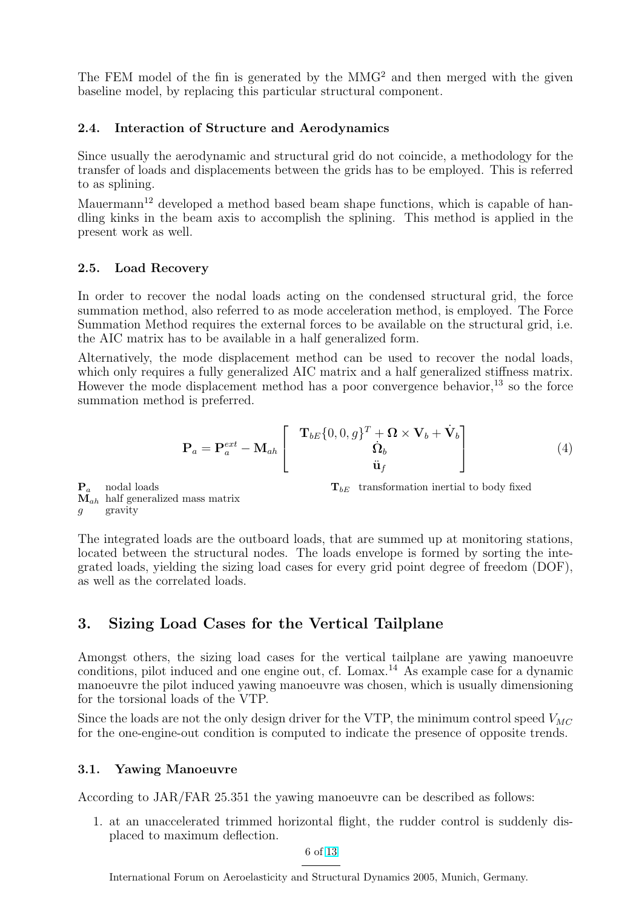The FEM model of the fin is generated by the MMG<sup>2</sup> and then merged with the given baseline model, by replacing this particular structural component.

#### 2.4. Interaction of Structure and Aerodynamics

Since usually the aerodynamic and structural grid do not coincide, a methodology for the transfer of loads and displacements between the grids has to be employed. This is referred to as splining.

Mauermann<sup>12</sup> developed a method based beam shape functions, which is capable of handling kinks in the beam axis to accomplish the splining. This method is applied in the present work as well.

#### 2.5. Load Recovery

In order to recover the nodal loads acting on the condensed structural grid, the force summation method, also referred to as mode acceleration method, is employed. The Force Summation Method requires the external forces to be available on the structural grid, i.e. the AIC matrix has to be available in a half generalized form.

Alternatively, the mode displacement method can be used to recover the nodal loads, which only requires a fully generalized AIC matrix and a half generalized stiffness matrix. However the mode displacement method has a poor convergence behavior,  $^{13}$  so the force summation method is preferred.

$$
\mathbf{P}_a = \mathbf{P}_a^{ext} - \mathbf{M}_{ah} \begin{bmatrix} \mathbf{T}_{bE} \{0, 0, g\}^T + \mathbf{\Omega} \times \mathbf{V}_b + \dot{\mathbf{V}}_b \\ \dot{\mathbf{\Omega}}_b \\ \ddot{\mathbf{u}}_f \end{bmatrix}
$$
(4)

 $\mathbf{P}_a$  nodal loads  $M_{ah}$  half generalized mass matrix gravity

 $T_{bE}$  transformation inertial to body fixed

The integrated loads are the outboard loads, that are summed up at monitoring stations, located between the structural nodes. The loads envelope is formed by sorting the integrated loads, yielding the sizing load cases for every grid point degree of freedom (DOF), as well as the correlated loads.

# 3. Sizing Load Cases for the Vertical Tailplane

Amongst others, the sizing load cases for the vertical tailplane are yawing manoeuvre conditions, pilot induced and one engine out, cf. Lomax.<sup>14</sup> As example case for a dynamic manoeuvre the pilot induced yawing manoeuvre was chosen, which is usually dimensioning for the torsional loads of the VTP.

Since the loads are not the only design driver for the VTP, the minimum control speed  $V_{MC}$ for the one-engine-out condition is computed to indicate the presence of opposite trends.

# 3.1. Yawing Manoeuvre

According to JAR/FAR 25.351 the yawing manoeuvre can be described as follows:

1. at an unaccelerated trimmed horizontal flight, the rudder control is suddenly displaced to maximum deflection.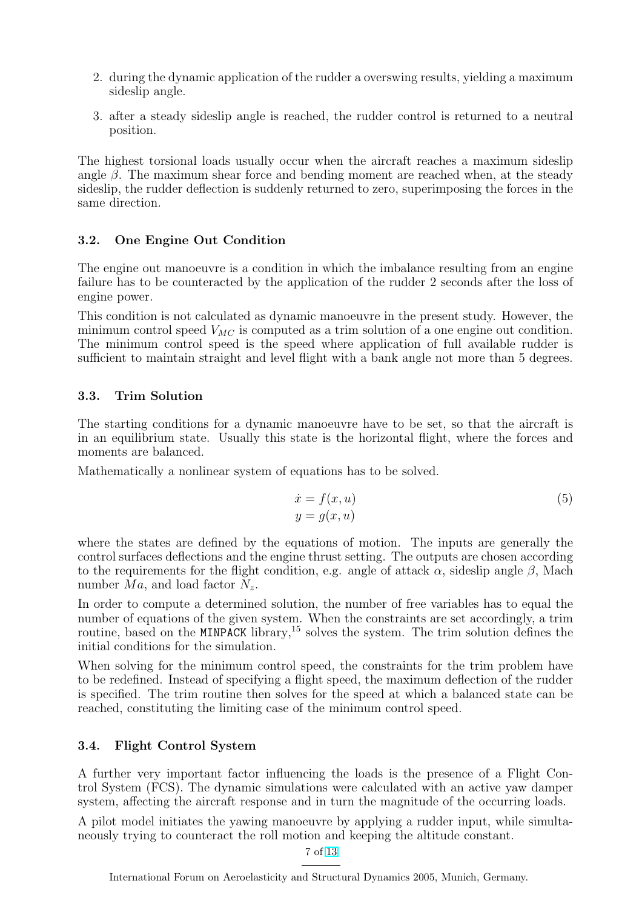- 2. during the dynamic application of the rudder a overswing results, yielding a maximum sideslip angle.
- 3. after a steady sideslip angle is reached, the rudder control is returned to a neutral position.

The highest torsional loads usually occur when the aircraft reaches a maximum sideslip angle  $\beta$ . The maximum shear force and bending moment are reached when, at the steady sideslip, the rudder deflection is suddenly returned to zero, superimposing the forces in the same direction.

### 3.2. One Engine Out Condition

The engine out manoeuvre is a condition in which the imbalance resulting from an engine failure has to be counteracted by the application of the rudder 2 seconds after the loss of engine power.

This condition is not calculated as dynamic manoeuvre in the present study. However, the minimum control speed  $V_{MC}$  is computed as a trim solution of a one engine out condition. The minimum control speed is the speed where application of full available rudder is sufficient to maintain straight and level flight with a bank angle not more than 5 degrees.

# 3.3. Trim Solution

The starting conditions for a dynamic manoeuvre have to be set, so that the aircraft is in an equilibrium state. Usually this state is the horizontal flight, where the forces and moments are balanced.

Mathematically a nonlinear system of equations has to be solved.

$$
\begin{aligned}\n\dot{x} &= f(x, u) \\
y &= g(x, u)\n\end{aligned} \tag{5}
$$

where the states are defined by the equations of motion. The inputs are generally the control surfaces deflections and the engine thrust setting. The outputs are chosen according to the requirements for the flight condition, e.g. angle of attack  $\alpha$ , sideslip angle  $\beta$ , Mach number  $Ma$ , and load factor  $N_z$ .

In order to compute a determined solution, the number of free variables has to equal the number of equations of the given system. When the constraints are set accordingly, a trim routine, based on the MINPACK library,  $^{15}$  solves the system. The trim solution defines the initial conditions for the simulation.

When solving for the minimum control speed, the constraints for the trim problem have to be redefined. Instead of specifying a flight speed, the maximum deflection of the rudder is specified. The trim routine then solves for the speed at which a balanced state can be reached, constituting the limiting case of the minimum control speed.

#### 3.4. Flight Control System

A further very important factor influencing the loads is the presence of a Flight Control System (FCS). The dynamic simulations were calculated with an active yaw damper system, affecting the aircraft response and in turn the magnitude of the occurring loads.

A pilot model initiates the yawing manoeuvre by applying a rudder input, while simultaneously trying to counteract the roll motion and keeping the altitude constant.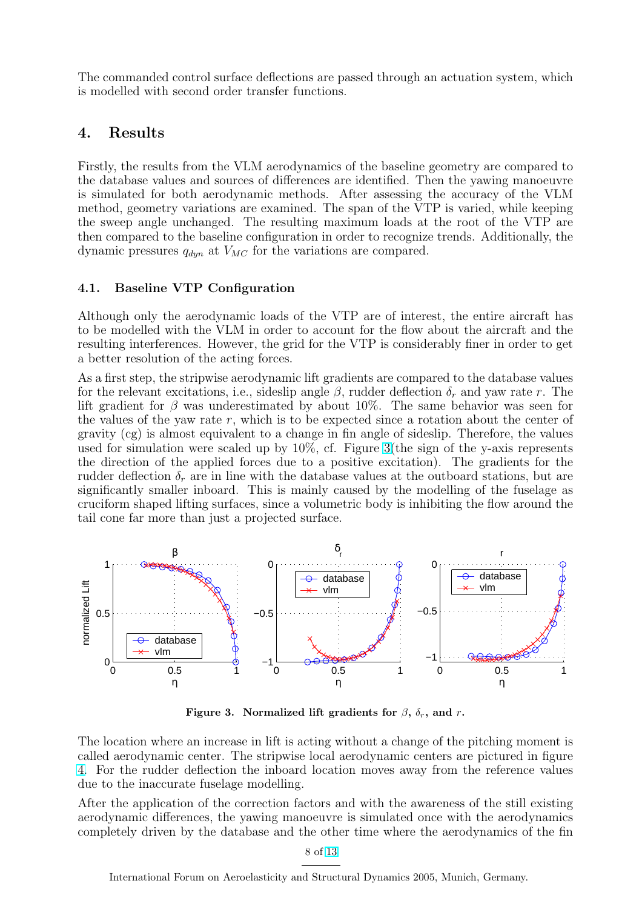The commanded control surface deflections are passed through an actuation system, which is modelled with second order transfer functions.

### 4. Results

Firstly, the results from the VLM aerodynamics of the baseline geometry are compared to the database values and sources of differences are identified. Then the yawing manoeuvre is simulated for both aerodynamic methods. After assessing the accuracy of the VLM method, geometry variations are examined. The span of the VTP is varied, while keeping the sweep angle unchanged. The resulting maximum loads at the root of the VTP are then compared to the baseline configuration in order to recognize trends. Additionally, the dynamic pressures  $q_{dyn}$  at  $V_{MC}$  for the variations are compared.

#### 4.1. Baseline VTP Configuration

Although only the aerodynamic loads of the VTP are of interest, the entire aircraft has to be modelled with the VLM in order to account for the flow about the aircraft and the resulting interferences. However, the grid for the VTP is considerably finer in order to get a better resolution of the acting forces.

As a first step, the stripwise aerodynamic lift gradients are compared to the database values for the relevant excitations, i.e., sideslip angle  $\beta$ , rudder deflection  $\delta_r$  and yaw rate r. The lift gradient for  $\beta$  was underestimated by about 10%. The same behavior was seen for the values of the yaw rate  $r$ , which is to be expected since a rotation about the center of gravity (cg) is almost equivalent to a change in fin angle of sideslip. Therefore, the values used for simulation were scaled up by  $10\%$ , cf. Figure 3(the sign of the y-axis represents the direction of the applied forces due to a positive excitation). The gradients for the rudder deflection  $\delta_r$  are in line with the database values at the outboard stations, but are significantly smaller inboard. This is mainly caused by the modelling of the fuselage as cruciform shaped lifting surfaces, since a volumetric body is inhibiting the flow around the tail cone far more than just a projected surface.



Figure 3. Normalized lift gradients for  $\beta$ ,  $\delta_r$ , and r.

The location where an increase in lift is acting without a change of the pitching moment is called aerodynamic center. The stripwise local aerodynamic centers are pictured in figure 4. For the rudder deflection the inboard location moves away from the reference values due to the inaccurate fuselage modelling.

After the application of the correction factors and with the awareness of the still existing [ae](#page-8-0)rodynamic differences, the yawing manoeuvre is simulated once with the aerodynamics completely driven by the database and the other time where the aerodynamics of the fin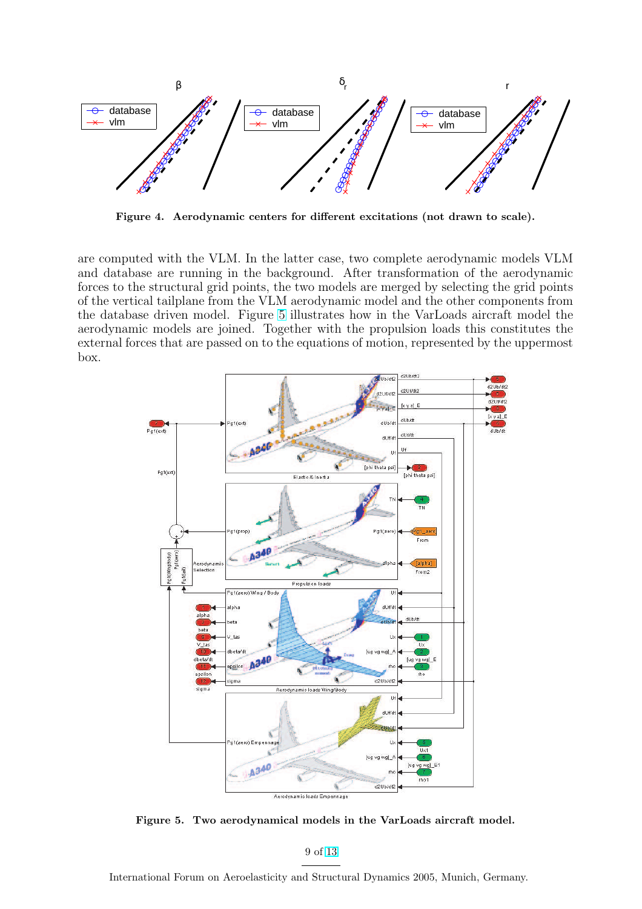<span id="page-8-0"></span>

Figure 4. Aerodynamic centers for different excitations (not drawn to scale).

are computed with the VLM. In the latter case, two complete aerodynamic models VLM and database are running in the background. After transformation of the aerodynamic forces to the structural grid points, the two models are merged by selecting the grid points of the vertical tailplane from the VLM aerodynamic model and the other components from the database driven model. Figure 5 illustrates how in the VarLoads aircraft model the aerodynamic models are joined. Together with the propulsion loads this constitutes the external forces that are passed on to the equations of motion, represented by the uppermost box.



Figure 5. Two aerodynamical models in the VarLoads aircraft model.

9 of 13

International Forum on Aeroelasticity and Structural Dynamics 2005, Munich, Germany.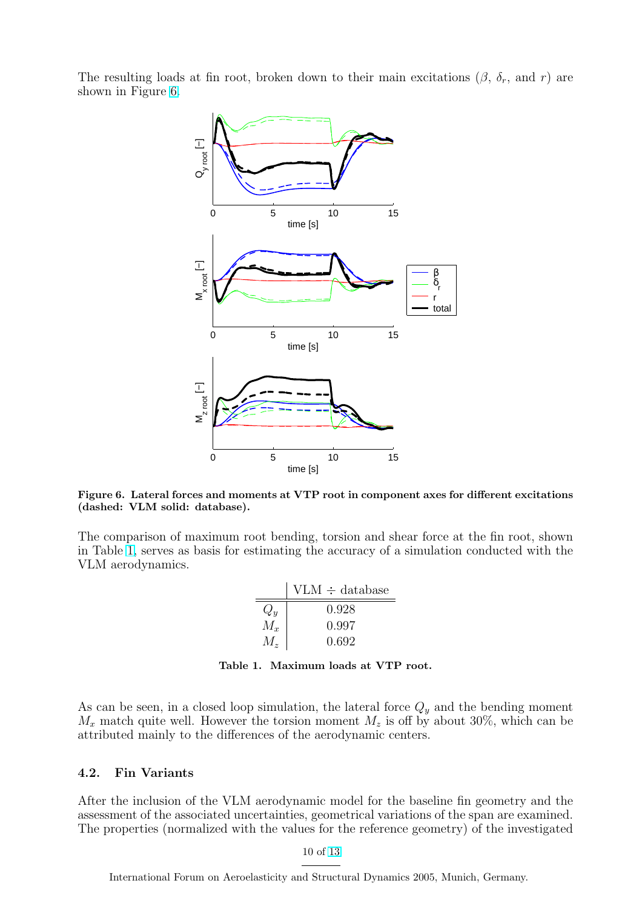<span id="page-9-0"></span>The resulting loads at fin root, broken down to their main excitations  $(\beta, \delta_r, \text{ and } r)$  are shown in Figure 6.



Figure 6. Lateral forces and moments at VTP root in component axes for different excitations (dashed: VLM solid: database).

The comparison of maximum root bending, torsion and shear force at the fin root, shown in Table 1, serves as basis for estimating the accuracy of a simulation conducted with the VLM aerodynamics.

|             | $VLM \div database$ |
|-------------|---------------------|
| $Q_y$       | 0.928               |
| $M_x$       | 0.997               |
| $M_{\rm z}$ | 0.692               |

Table 1. Maximum loads at VTP root.

As can be seen, in a closed loop simulation, the lateral force  $Q_y$  and the bending moment  $M_x$  match quite well. However the torsion moment  $M_z$  is off by about 30%, which can be attributed mainly to the differences of the aerodynamic centers.

#### 4.2. Fin Variants

After the inclusion of the VLM aerodynamic model for the baseline fin geometry and the assessment of the associated uncertainties, geometrical variations of the span are examined. The properties (normalized with the values for the reference geometry) of the investigated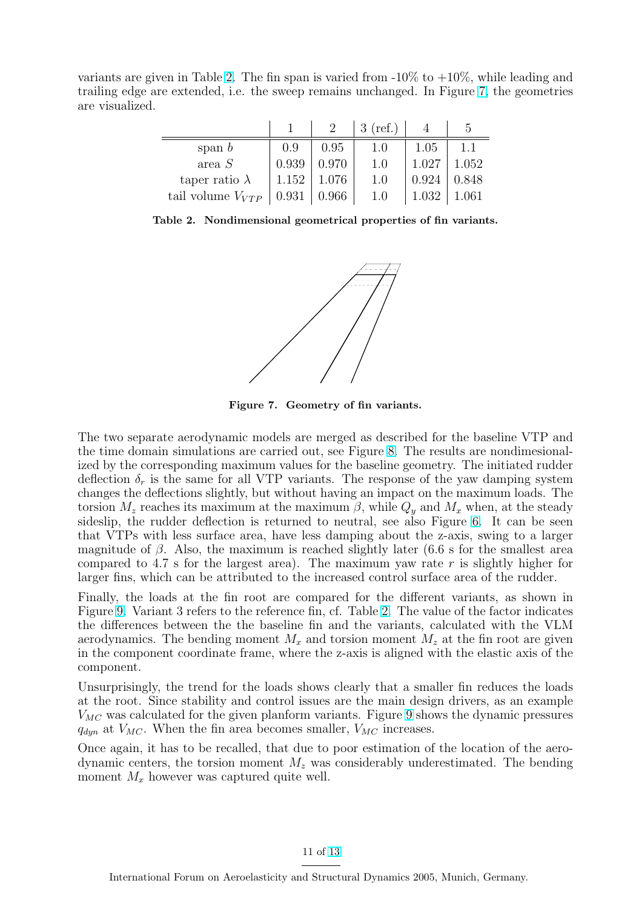variants are given in Table 2. The fin span is varied from  $-10\%$  to  $+10\%$ , while leading and trailing edge are extended, i.e. the sweep remains unchanged. In Figure 7, the geometries are visualized.

|                       |       |       | $3$ (ref.) |       | $\mathcal{L}$ |
|-----------------------|-------|-------|------------|-------|---------------|
| span $b$              | 0.9   | 0.95  | $1.0\,$    | 1.05  | 1.1           |
| area S                | 0.939 | 0.970 | 1.0        | 1.027 | 1.052         |
| taper ratio $\lambda$ | 1.152 | 1.076 | 1.0        | 0.924 | 0.848         |
| tail volume $V_{VTP}$ | 0.931 | 0.966 | 1.0        | 1.032 | .061          |

Table 2. Nondimensional geometrical properties of fin variants.



Figure 7. Geometry of fin variants.

The two separate aerodynamic models are merged as described for the baseline VTP and the time domain simulations are carried out, see Figure 8. The results are nondimesionalized by the corresponding maximum values for the baseline geometry. The initiated rudder deflection  $\delta_r$  is the same for all VTP variants. The response of the yaw damping system changes the deflections slightly, but without having an impact on the maximum loads. The torsion  $M_z$  reaches its maximum at the maximum  $\beta$ , wh[ile](#page-11-0)  $Q_y$  and  $M_x$  when, at the steady sideslip, the rudder deflection is returned to neutral, see also Figure 6. It can be seen that VTPs with less surface area, have less damping about the z-axis, swing to a larger magnitude of  $\beta$ . Also, the maximum is reached slightly later (6.6 s for the smallest area compared to 4.7 s for the largest area). The maximum yaw rate r is slightly higher for larger fins, which can be attributed to the increased control surface are[a](#page-9-0) of the rudder.

Finally, the loads at the fin root are compared for the different variants, as shown in Figure 9. Variant 3 refers to the reference fin, cf. Table 2. The value of the factor indicates the differences between the the baseline fin and the variants, calculated with the VLM aerodynamics. The bending moment  $M_x$  and torsion moment  $M_z$  at the fin root are given in the component coordinate frame, where the z-axis is aligned with the elastic axis of the compo[ne](#page-11-0)nt.

Unsurprisingly, the trend for the loads shows clearly that a smaller fin reduces the loads at the root. Since stability and control issues are the main design drivers, as an example  $V_{MC}$  was calculated for the given planform variants. Figure 9 shows the dynamic pressures  $q_{dyn}$  at  $V_{MC}$ . When the fin area becomes smaller,  $V_{MC}$  increases.

Once again, it has to be recalled, that due to poor estimation of the location of the aerodynamic centers, the torsion moment  $M_z$  was considerably [u](#page-11-0)nderestimated. The bending moment  $M_x$  however was captured quite well.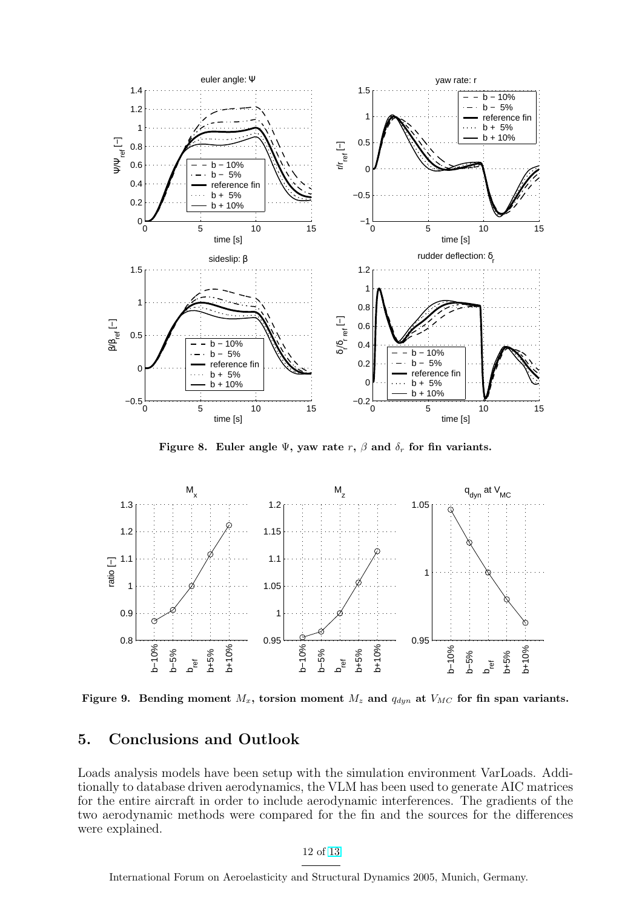<span id="page-11-0"></span>

Figure 8. Euler angle  $\Psi$ , yaw rate r,  $\beta$  and  $\delta_r$  for fin variants.



Figure 9. Bending moment  $M_x$ , torsion moment  $M_z$  and  $q_{dyn}$  at  $V_{MC}$  for fin span variants.

# 5. Conclusions and Outlook

Loads analysis models have been setup with the simulation environment VarLoads. Additionally to database driven aerodynamics, the VLM has been used to generate AIC matrices for the entire aircraft in order to include aerodynamic interferences. The gradients of the two aerodynamic methods were compared for the fin and the sources for the differences were explained.